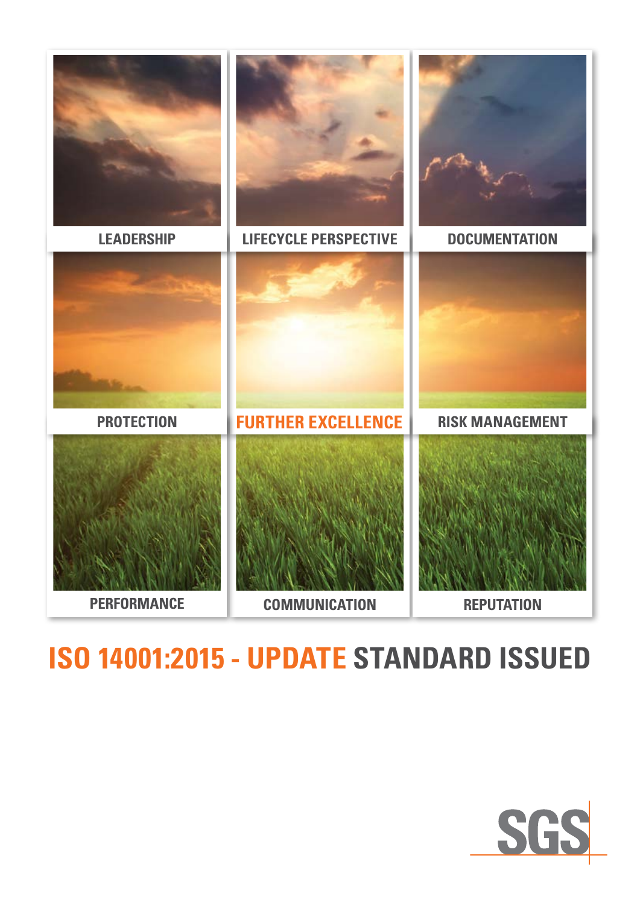

# **ISO 14001:2015 - update standard issued**

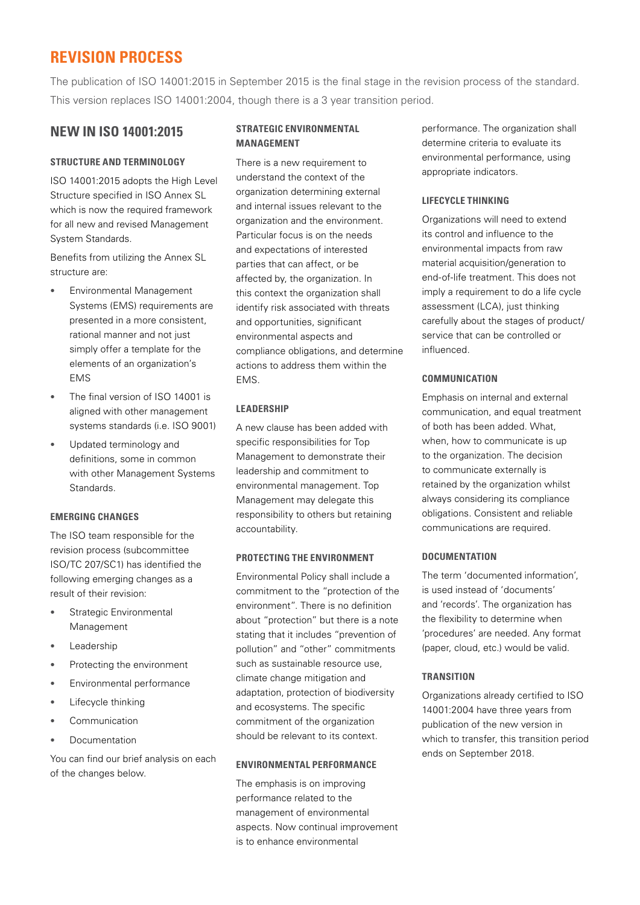### **REVISION PROCESS**

The publication of ISO 14001:2015 in September 2015 is the final stage in the revision process of the standard. This version replaces ISO 14001:2004, though there is a 3 year transition period.

#### **NEW IN ISO 14001:2015**

#### **STRUCTURE AND TERMINOLOGY**

ISO 14001:2015 adopts the High Level Structure specified in ISO Annex SL which is now the required framework for all new and revised Management System Standards.

Benefits from utilizing the Annex SL structure are:

- Environmental Management Systems (EMS) requirements are presented in a more consistent, rational manner and not just simply offer a template for the elements of an organization's EMS
- The final version of ISO 14001 is aligned with other management systems standards (i.e. ISO 9001)
- Updated terminology and definitions, some in common with other Management Systems Standards.

#### **EMERGING CHANGES**

The ISO team responsible for the revision process (subcommittee ISO/TC 207/SC1) has identified the following emerging changes as a result of their revision:

- Strategic Environmental Management
- **Leadership**
- Protecting the environment
- Environmental performance
- Lifecycle thinking
- Communication
- Documentation

You can find our brief analysis on each of the changes below.

#### **Strategic Environmental Management**

There is a new requirement to understand the context of the organization determining external and internal issues relevant to the organization and the environment. Particular focus is on the needs and expectations of interested parties that can affect, or be affected by, the organization. In this context the organization shall identify risk associated with threats and opportunities, significant environmental aspects and compliance obligations, and determine actions to address them within the EMS.

#### **LEADERSHIP**

A new clause has been added with specific responsibilities for Top Management to demonstrate their leadership and commitment to environmental management. Top Management may delegate this responsibility to others but retaining accountability.

#### **PROTECTING THE ENVIRONMENT**

Environmental Policy shall include a commitment to the "protection of the environment". There is no definition about "protection" but there is a note stating that it includes "prevention of pollution" and "other" commitments such as sustainable resource use, climate change mitigation and adaptation, protection of biodiversity and ecosystems. The specific commitment of the organization should be relevant to its context.

#### **Environmental performance**

The emphasis is on improving performance related to the management of environmental aspects. Now continual improvement is to enhance environmental

performance. The organization shall determine criteria to evaluate its environmental performance, using appropriate indicators.

#### **LIFECYCLE THINKING**

Organizations will need to extend its control and influence to the environmental impacts from raw material acquisition/generation to end-of-life treatment. This does not imply a requirement to do a life cycle assessment (LCA), just thinking carefully about the stages of product/ service that can be controlled or influenced.

#### **Communication**

Emphasis on internal and external communication, and equal treatment of both has been added. What, when, how to communicate is up to the organization. The decision to communicate externally is retained by the organization whilst always considering its compliance obligations. Consistent and reliable communications are required.

#### **documentation**

The term 'documented information', is used instead of 'documents' and 'records'. The organization has the flexibility to determine when 'procedures' are needed. Any format (paper, cloud, etc.) would be valid.

#### **TRANSITION**

Organizations already certified to ISO 14001:2004 have three years from publication of the new version in which to transfer, this transition period ends on September 2018.